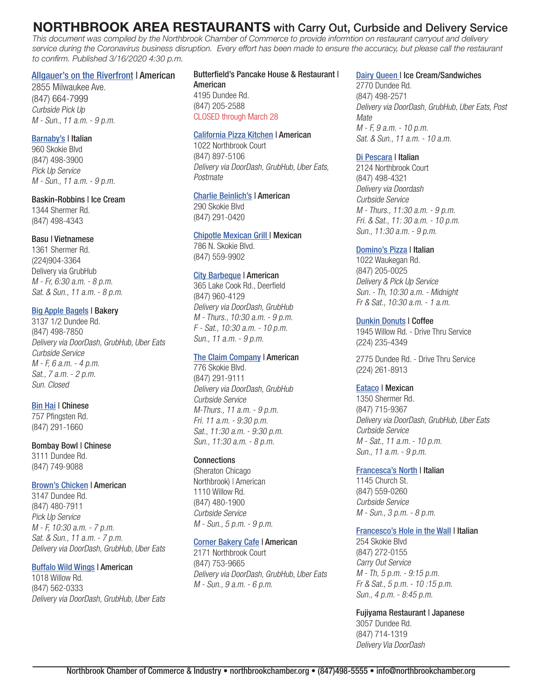# **NORTHBROOK AREA RESTAURANTS** with Carry Out, Curbside and Delivery Service

*This document was compiled by the Northbrook Chamber of Commerce to provide informtion on restaurant carryout and delivery service during the Coronavirus business disruption. Every effort has been made to ensure the accuracy, but please call the restaurant to confirm. Published 3/16/2020 4:30 p.m.*

## [Allgauer's on the Riverfront](https://www3.hilton.com/en/hotels/illinois/hilton-chicago-northbrook-CHINBHF/dining/index.html) | American

2855 Milwaukee Ave. (847) 664-7999 Curbside Pick Up M - Sun., 11 a.m. - 9 p.m.

## [Barnaby's](http://www.barnabysofnorthbrook.com/) | Italian

960 Skokie Blvd (847) 498-3900 Pick Up Service M - Sun., 11 a.m. - 9 p.m.

#### Baskin-Robbins | Ice Cream

1344 Shermer Rd. (847) 498-4343

### Basu | Vietnamese

1361 Shermer Rd. (224)904-3364 Delivery via GrubHub M - Fr, 6:30 a.m. - 8 p.m. Sat. & Sun., 11 a.m. - 8 p.m.

# **[Big Apple Bagels](https://bigapplebagels.com/locations/) | Bakery**

3137 1/2 Dundee Rd. (847) 498-7850 Delivery via DoorDash, GrubHub, Uber Eats Curbside Service M - F, 6 a.m. - 4 p.m. Sat., 7 a.m. - 2 p.m. Sun. Closed

# **[Bin Hai](https://www.binhaichinese.com/) | Chinese**

757 Pfingsten Rd. (847) 291-1660

# Bombay Bowl | Chinese

3111 Dundee Rd. (847) 749-9088

# [Brown's Chicken](http://Brown’s Chicken) | American

3147 Dundee Rd. (847) 480-7911 Pick Up Service M - F, 10:30 a.m. - 7 p.m. Sat. & Sun., 11 a.m. - 7 p.m. Delivery via DoorDash, GrubHub, Uber Eats

# [Buffalo Wild Wings](https://www.buffalowildwings.com/en/locations/) | American

1018 Willow Rd. (847) 562-0333 Delivery via DoorDash, GrubHub, Uber Eats

# Butterfield's Pancake House & Restaurant |

American 4195 Dundee Rd. (847) 205-2588 CLOSED through March 28

#### [California Pizza Kitchen](https://www.cpk.com/Location/Details/Northbrook-Court) | American

1022 Northbrook Court (847) 897-5106 Delivery via DoorDash, GrubHub, Uber Eats, Postmate

## [Charlie Beinlich's](https://www.charliebeinlichsfoodandtap.com/) | American

290 Skokie Blvd (847) 291-0420

# [Chipotle Mexican Grill](https://locations.chipotle.com/il/northbrook/786-skokie-blvd) | Mexican

786 N. Skokie Blvd. (847) 559-9902

# [City Barbeque](https://www.citybbq.com/locations/?zip=60062) | American

365 Lake Cook Rd., Deerfield (847) 960-4129 Delivery via DoorDash, GrubHub M - Thurs., 10:30 a.m. - 9 p.m. F - Sat., 10:30 a.m. - 10 p.m. Sun., 11 a.m. - 9 p.m.

#### [The Claim Company](https://www.theclaimcompany.com/northbrook-court/) | American

776 Skokie Blvd. (847) 291-9111 Delivery via DoorDash, GrubHub Curbside Service M-Thurs., 11 a.m. - 9 p.m. Fri. 11 a.m. - 9:30 p.m. Sat., 11:30 a.m. - 9:30 p.m. Sun., 11:30 a.m. - 8 p.m.

# **Connections**

(Sheraton Chicago Northbrook) | American 1110 Willow Rd. (847) 480-1900 Curbside Service M - Sun., 5 p.m. - 9 p.m.

#### [Corner Bakery Cafe](https://cornerbakerycafe.com/location/northbrook) | American

2171 Northbrook Court (847) 753-9665 Delivery via DoorDash, GrubHub, Uber Eats M - Sun., 9 a.m. - 6 p.m.

# [Dairy Queen](https://www.dairyqueen.com/us-en/locator/Detail/?localechange=1&store-id=1084&) | Ice Cream/Sandwiches

2770 Dundee Rd. (847) 498-2571 Delivery via DoorDash, GrubHub, Uber Eats, Post **Mate** M - F, 9 a.m. - 10 p.m. Sat. & Sun., 11 a.m. - 10 a.m.

# [Di Pescara](https://www.di-pescara.com/) | Italian

2124 Northbrook Court (847) 498-4321 Delivery via Doordash Curbside Service M - Thurs., 11:30 a.m. - 9 p.m. Fri. & Sat., 11: 30 a.m. - 10 p.m. Sun., 11:30 a.m. - 9 p.m.

### [Domino's Pizza](https://pizza.dominos.com/illinois/northbrook/1022-waukegan-rd/) | Italian

1022 Waukegan Rd. (847) 205-0025 Delivery & Pick Up Service Sun. - Th, 10:30 a.m. - Midnight Fr & Sat., 10:30 a.m. - 1 a.m.

# [Dunkin Donuts](https://www.dunkindonuts.com/en?utm_source=google&utm_medium=local&utm_campaign=localmaps&utm_content=353357) | Coffee

1945 Willow Rd. - Drive Thru Service (224) 235-4349

2775 Dundee Rd. - Drive Thru Service (224) 261-8913

# [Eataco](https://www.eataconow.com/) | Mexican

1350 Shermer Rd. (847) 715-9367 Delivery via DoorDash, GrubHub, Uber Eats Curbside Service M - Sat., 11 a.m. - 10 p.m. Sun., 11 a.m. - 9 p.m.

# [Francesca's North](https://www.miafrancesca.com/location/mia-francesca-northbrook/) | Italian

1145 Church St. (847) 559-0260 Curbside Service M - Sun., 3 p.m. - 8 p.m.

# [Francesco's Hole in the Wall](http://www.francescosholeinthewall.com/) | Italian

254 Skokie Blvd (847) 272-0155 Carry Out Service M - Th, 5 p.m. - 9:15 p.m. Fr & Sat., 5 p.m. - 10 :15 p.m. Sun., 4 p.m. - 8:45 p.m.

### Fujiyama Restaurant | Japanese

3057 Dundee Rd. (847) 714-1319 Delivery Via DoorDash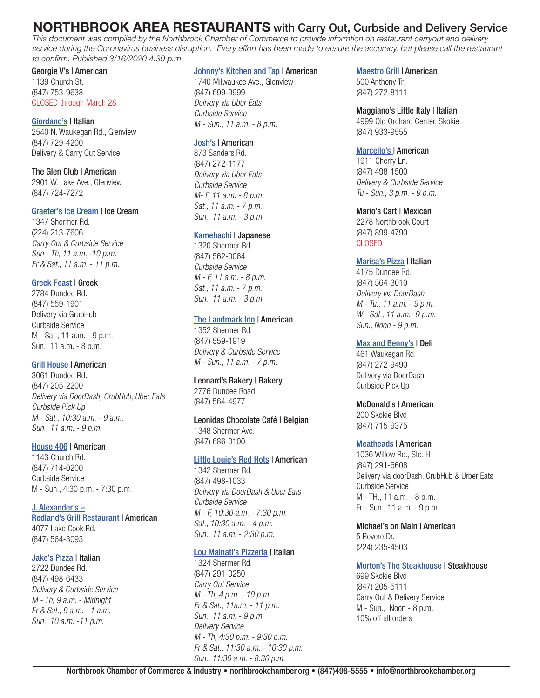# **NORTHBROOK AREA RESTAURANTS** with Carry Out, Curbside and Delivery Service

*This document was compiled by the Northbrook Chamber of Commerce to provide informtion on restaurant carryout and delivery service during the Coronavirus business disruption. Every effort has been made to ensure the accuracy, but please call the restaurant to confirm. Published 3/16/2020 4:30 p.m.*

# Georgie V's | American 1139 Church St. (847) 753-9638 CLOSED through March 28

[Giordano's](https://giordanos.com/locations/glenview/) | Italian 2540 N. Waukegan Rd., Glenview (847) 729-4200 Delivery & Carry Out Service

The Glen Club | American 2901 W. Lake Ave., Glenview (847) 724-7272

### [Graeter's Ice Cream](https://graeters.olo.com/menu/northbrook) | Ice Cream

1347 Shermer Rd. (224) 213-7606 Carry Out & Curbside Service Sun - Th, 11 a.m. -10 p.m. Fr & Sat., 11 a.m. - 11 p.m.

# [Greek Feast](https://www.thegreekfeast.com/) | Greek

2784 Dundee Rd. (847) 559-1901 Delivery via GrubHub Curbside Service M - Sat., 11 a.m. - 9 p.m. Sun., 11 a.m. - 8 p.m.

# [Grill House](https://www.eatgrillhouse.com/) | American

3061 Dundee Rd. (847) 205-2200 Delivery via DoorDash, GrubHub, Uber Eats Curbside Pick Up M - Sat., 10:30 a.m. - 9 a.m. Sun., 11 a.m. - 9 p.m.

# [House 406](https://www.house406restaurant.com/) | American

1143 Church Rd. (847) 714-0200 Curbside Service M - Sun., 4:30 p.m. - 7:30 p.m.

[J. Alexander's –](https://jalexandersholdings.com/wp/site/web/assets/redlands_northbrook_lunch-1.pdf) [Redland's Grill Restaurant](https://jalexandersholdings.com/wp/site/web/assets/redlands_northbrook_lunch-1.pdf) | American 4077 Lake Cook Rd. (847) 564-3093

# [Jake's Pizza](https://www.jakespizzanorthbrook.com/) | Italian

2722 Dundee Rd. (847) 498-6433 Delivery & Curbside Service M - Th, 9 a.m. - Midnight Fr & Sat., 9 a.m. - 1 a.m. Sun., 10 a.m. -11 p.m.

### [Johnny's Kitchen and Tap](https://www.johnnyskitchenandtap.com/) | American

1740 Milwaukee Ave., Glenview (847) 699-9999 Delivery via Uber Eats Curbside Service M - Sun., 11 a.m. - 8 p.m.

# [Josh's](https://www.joshshotdogs.com/) | American

873 Sanders Rd. (847) 272-1177 Delivery via Uber Eats Curbside Service M- F, 11 a.m. - 8 p.m. Sat., 11 a.m. - 7 p.m. Sun., 11 a.m. - 3 p.m.

# [Kamehachi](http://www.kamehachi.com/northbrook/) | Japanese

1320 Shermer Rd. (847) 562-0064 Curbside Service M - F, 11 a.m. - 8 p.m. Sat., 11 a.m. - 7 p.m. Sun., 11 a.m. - 3 p.m.

# [The Landmark Inn](https://landmarkinnbar.com/index.html) | American

1352 Shermer Rd. (847) 559-1919 Delivery & Curbside Service M - Sun., 11 a.m. - 7 p.m.

# Leonard's Bakery | Bakery

2776 Dundee Road (847) 564-4977

Leonidas Chocolate Café | Belgian 1348 Shermer Ave. (847) 686-0100

# [Little Louie's Red Hots](http://www.little-louies.com/) | American

1342 Shermer Rd. (847) 498-1033 Delivery via DoorDash & Uber Eats Curbside Service M - F, 10:30 a.m. - 7:30 p.m. Sat., 10:30 a.m. - 4 p.m. Sun., 11 a.m. - 2:30 p.m.

# [Lou Malnati's Pizzeria](https://www.loumalnatis.com/northbrook) | Italian

1324 Shermer Rd. (847) 291-0250 Carry Out Service M - Th, 4 p.m. - 10 p.m. Fr & Sat., 11a.m. - 11 p.m. Sun., 11 a.m. - 9 p.m. Delivery Service M - Th, 4:30 p.m. - 9:30 p.m. Fr & Sat., 11:30 a.m. - 10:30 p.m. Sun., 11:30 a.m. - 8:30 p.m.

# [Maestro Grill](http://maestrogrill.com/) | American

500 Anthony Tr. (847) 272-8111

Maggiano's Little Italy | Italian 4999 Old Orchard Center, Skokie (847) 933-9555

# [Marcello's |](https://marcellos.com/menus/) American

1911 Cherry Ln. (847) 498-1500 Delivery & Curbside Service Tu - Sun., 3 p.m. - 9 p.m.

### Mario's Cart | Mexican

2278 Northbrook Court (847) 899-4790 CLOSED

### [Marisa's Pizza](https://www.marisaspizzaandgrill.com/) | Italian

4175 Dundee Rd. (847) 564-3010 Delivery via DoorDash M - Tu., 11 a.m. - 9 p.m. W - Sat., 11 a.m. -9 p.m. Sun., Noon - 9 p.m.

### [Max and Benny's](http://www.maxandbennys.com/) | Deli

461 Waukegan Rd. (847) 272-9490 Delivery via DoorDash Curbside Pick Up

#### McDonald's | American

200 Skokie Blvd (847) 715-9375

# [Meatheads](https://www.meatheadsburgers.com/locations/northbrook) | American

1036 Willow Rd., Ste. H (847) 291-6608 Delivery via doorDash, GrubHub & Urber Eats Curbside Service M - TH., 11 a.m. - 8 p.m. Fr - Sun., 11 a.m. - 9 p.m.

# Michael's on Main | American 5 Revere Dr.

(224) 235-4503

# [Morton's The Steakhouse](https://www.mortons.com/northbrook/) | Steakhouse

699 Skokie Blvd (847) 205-5111 Carry Out & Delivery Service M - Sun., Noon - 8 p.m. 10% off all orders